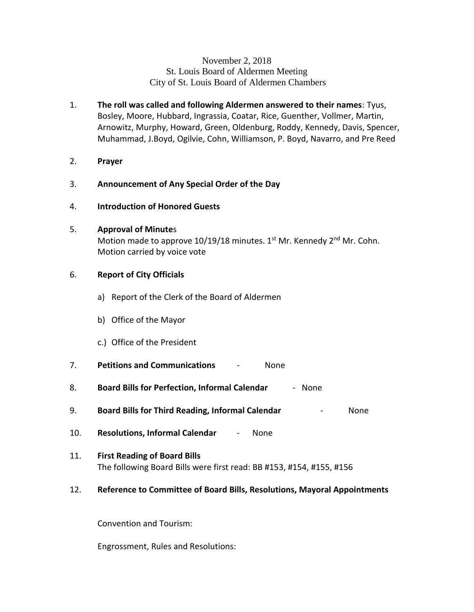#### November 2, 2018 St. Louis Board of Aldermen Meeting City of St. Louis Board of Aldermen Chambers

- 1. **The roll was called and following Aldermen answered to their names**: Tyus, Bosley, Moore, Hubbard, Ingrassia, Coatar, Rice, Guenther, Vollmer, Martin, Arnowitz, Murphy, Howard, Green, Oldenburg, Roddy, Kennedy, Davis, Spencer, Muhammad, J.Boyd, Ogilvie, Cohn, Williamson, P. Boyd, Navarro, and Pre Reed
- 2. **Prayer**
- 3. **Announcement of Any Special Order of the Day**
- 4. **Introduction of Honored Guests**

#### 5. **Approval of Minute**s

Motion made to approve  $10/19/18$  minutes. 1<sup>st</sup> Mr. Kennedy 2<sup>nd</sup> Mr. Cohn. Motion carried by voice vote

## 6. **Report of City Officials**

- a) Report of the Clerk of the Board of Aldermen
- b) Office of the Mayor
- c.) Office of the President
- 7. **Petitions and Communications** None
- 8. **Board Bills for Perfection, Informal Calendar** None
- 9. **Board Bills for Third Reading, Informal Calendar** None
- 10. **Resolutions, Informal Calendar** None
- 11. **First Reading of Board Bills** The following Board Bills were first read: BB #153, #154, #155, #156

#### 12. **Reference to Committee of Board Bills, Resolutions, Mayoral Appointments**

Convention and Tourism:

Engrossment, Rules and Resolutions: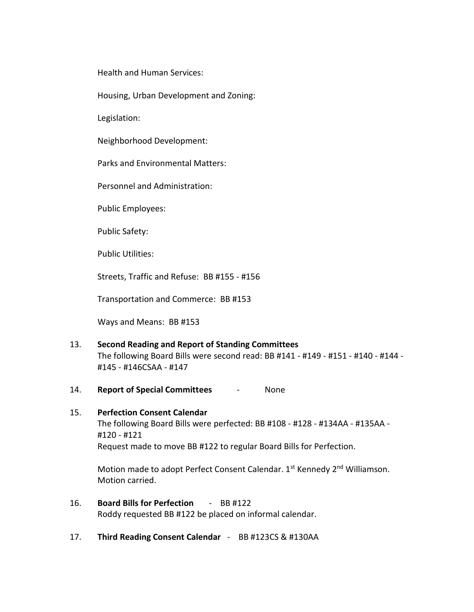Health and Human Services:

Housing, Urban Development and Zoning:

Legislation:

Neighborhood Development:

Parks and Environmental Matters:

Personnel and Administration:

Public Employees:

Public Safety:

Public Utilities:

Streets, Traffic and Refuse: BB #155 - #156

Transportation and Commerce: BB #153

Ways and Means: BB #153

- 13. **Second Reading and Report of Standing Committees** The following Board Bills were second read: BB #141 - #149 - #151 - #140 - #144 - #145 - #146CSAA - #147
- 14. **Report of Special Committees** None

# 15. **Perfection Consent Calendar** The following Board Bills were perfected: BB #108 - #128 - #134AA - #135AA - #120 - #121 Request made to move BB #122 to regular Board Bills for Perfection.

Motion made to adopt Perfect Consent Calendar. 1st Kennedy 2<sup>nd</sup> Williamson. Motion carried.

- 16. **Board Bills for Perfection** BB #122 Roddy requested BB #122 be placed on informal calendar.
- 17. **Third Reading Consent Calendar** BB #123CS & #130AA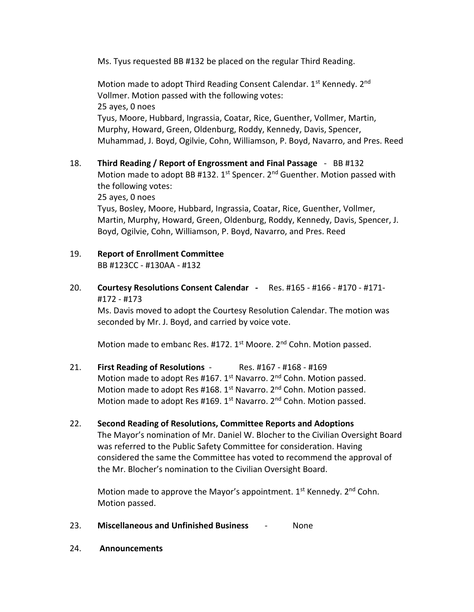Ms. Tyus requested BB #132 be placed on the regular Third Reading.

Motion made to adopt Third Reading Consent Calendar. 1<sup>st</sup> Kennedy. 2<sup>nd</sup> Vollmer. Motion passed with the following votes: 25 ayes, 0 noes Tyus, Moore, Hubbard, Ingrassia, Coatar, Rice, Guenther, Vollmer, Martin, Murphy, Howard, Green, Oldenburg, Roddy, Kennedy, Davis, Spencer, Muhammad, J. Boyd, Ogilvie, Cohn, Williamson, P. Boyd, Navarro, and Pres. Reed

18. **Third Reading / Report of Engrossment and Final Passage** - BB #132 Motion made to adopt BB #132.  $1^{st}$  Spencer.  $2^{nd}$  Guenther. Motion passed with the following votes:

25 ayes, 0 noes

Tyus, Bosley, Moore, Hubbard, Ingrassia, Coatar, Rice, Guenther, Vollmer, Martin, Murphy, Howard, Green, Oldenburg, Roddy, Kennedy, Davis, Spencer, J. Boyd, Ogilvie, Cohn, Williamson, P. Boyd, Navarro, and Pres. Reed

- 19. **Report of Enrollment Committee** BB #123CC - #130AA - #132
- 20. **Courtesy Resolutions Consent Calendar** Res. #165 #166 #170 #171- #172 - #173

Ms. Davis moved to adopt the Courtesy Resolution Calendar. The motion was seconded by Mr. J. Boyd, and carried by voice vote.

Motion made to embanc Res. #172. 1<sup>st</sup> Moore. 2<sup>nd</sup> Cohn. Motion passed.

- 21. **First Reading of Resolutions** Res. #167 #168 #169 Motion made to adopt Res #167. 1<sup>st</sup> Navarro. 2<sup>nd</sup> Cohn. Motion passed. Motion made to adopt Res #168. 1<sup>st</sup> Navarro. 2<sup>nd</sup> Cohn. Motion passed. Motion made to adopt Res #169. 1<sup>st</sup> Navarro. 2<sup>nd</sup> Cohn. Motion passed.
- 22. **Second Reading of Resolutions, Committee Reports and Adoptions** The Mayor's nomination of Mr. Daniel W. Blocher to the Civilian Oversight Board was referred to the Public Safety Committee for consideration. Having considered the same the Committee has voted to recommend the approval of the Mr. Blocher's nomination to the Civilian Oversight Board.

Motion made to approve the Mayor's appointment. 1<sup>st</sup> Kennedy. 2<sup>nd</sup> Cohn. Motion passed.

- 23. **Miscellaneous and Unfinished Business** None
- 24. **Announcements**